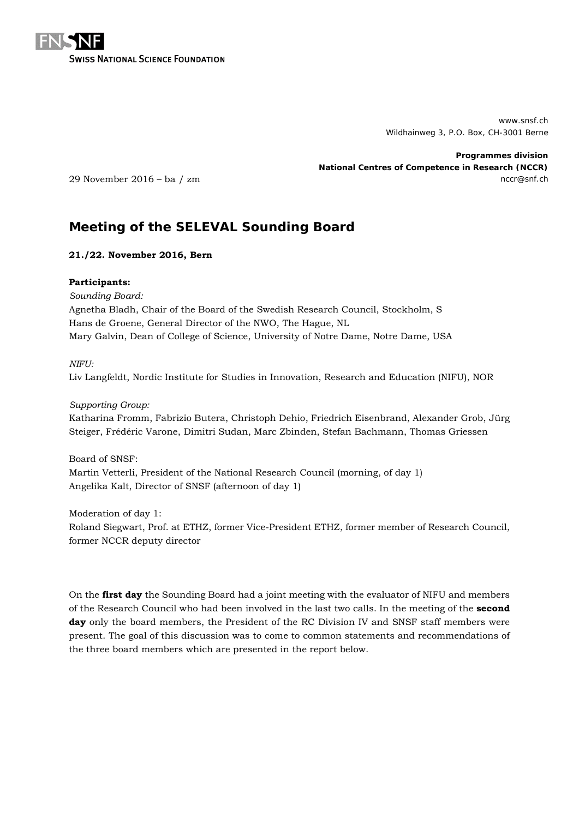

www.snsf.ch Wildhainweg 3, P.O. Box, CH-3001 Berne

**Programmes division National Centres of Competence in Research (NCCR)** 29 November 2016 – ba / zm nccr@snf.ch nccr@snf.ch nccr@snf.ch nccr@snf.ch nccr@snf.ch nccr@snf.ch nccr@snf.ch

# **Meeting of the SELEVAL Sounding Board**

## **21./22. November 2016, Bern**

## **Participants:**

*Sounding Board:* Agnetha Bladh, Chair of the Board of the Swedish Research Council, Stockholm, S Hans de Groene, General Director of the NWO, The Hague, NL Mary Galvin, Dean of College of Science, University of Notre Dame, Notre Dame, USA

## *NIFU:*

Liv Langfeldt, Nordic Institute for Studies in Innovation, Research and Education (NIFU), NOR

*Supporting Group:* Katharina Fromm, Fabrizio Butera, Christoph Dehio, Friedrich Eisenbrand, Alexander Grob, Jürg Steiger, Frédéric Varone, Dimitri Sudan, Marc Zbinden, Stefan Bachmann, Thomas Griessen

Board of SNSF: Martin Vetterli, President of the National Research Council (morning, of day 1) Angelika Kalt, Director of SNSF (afternoon of day 1)

Moderation of day 1: Roland Siegwart, Prof. at ETHZ, former Vice-President ETHZ, former member of Research Council, former NCCR deputy director

On the **first day** the Sounding Board had a joint meeting with the evaluator of NIFU and members of the Research Council who had been involved in the last two calls. In the meeting of the **second day** only the board members, the President of the RC Division IV and SNSF staff members were present. The goal of this discussion was to come to common statements and recommendations of the three board members which are presented in the report below.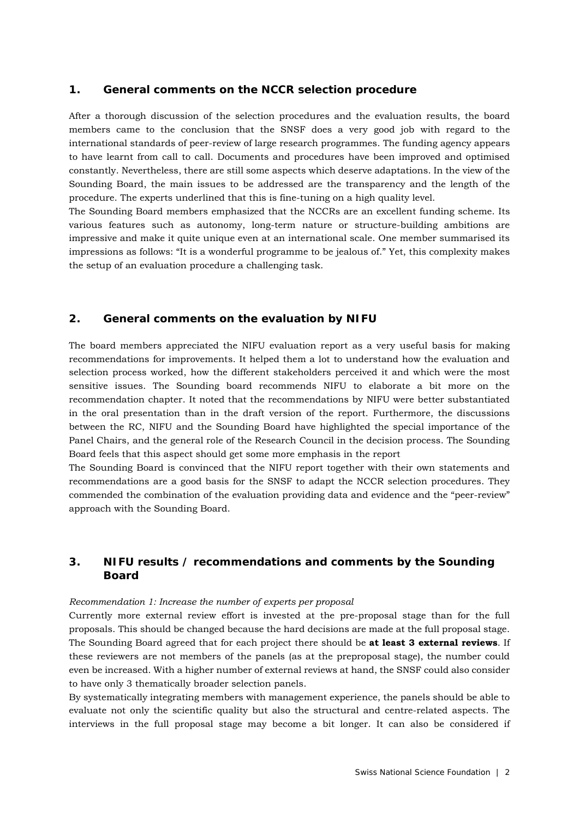## **1. General comments on the NCCR selection procedure**

After a thorough discussion of the selection procedures and the evaluation results, the board members came to the conclusion that the SNSF does a very good job with regard to the international standards of peer-review of large research programmes. The funding agency appears to have learnt from call to call. Documents and procedures have been improved and optimised constantly. Nevertheless, there are still some aspects which deserve adaptations. In the view of the Sounding Board, the main issues to be addressed are the transparency and the length of the procedure. The experts underlined that this is fine-tuning on a high quality level.

The Sounding Board members emphasized that the NCCRs are an excellent funding scheme. Its various features such as autonomy, long-term nature or structure-building ambitions are impressive and make it quite unique even at an international scale. One member summarised its impressions as follows: "It is a wonderful programme to be jealous of." Yet, this complexity makes the setup of an evaluation procedure a challenging task.

## **2. General comments on the evaluation by NIFU**

The board members appreciated the NIFU evaluation report as a very useful basis for making recommendations for improvements. It helped them a lot to understand how the evaluation and selection process worked, how the different stakeholders perceived it and which were the most sensitive issues. The Sounding board recommends NIFU to elaborate a bit more on the recommendation chapter. It noted that the recommendations by NIFU were better substantiated in the oral presentation than in the draft version of the report. Furthermore, the discussions between the RC, NIFU and the Sounding Board have highlighted the special importance of the Panel Chairs, and the general role of the Research Council in the decision process. The Sounding Board feels that this aspect should get some more emphasis in the report

The Sounding Board is convinced that the NIFU report together with their own statements and recommendations are a good basis for the SNSF to adapt the NCCR selection procedures. They commended the combination of the evaluation providing data and evidence and the "peer-review" approach with the Sounding Board.

# **3. NIFU results / recommendations and comments by the Sounding Board**

#### *Recommendation 1: Increase the number of experts per proposal*

Currently more external review effort is invested at the pre-proposal stage than for the full proposals. This should be changed because the hard decisions are made at the full proposal stage. The Sounding Board agreed that for each project there should be **at least 3 external reviews**. If these reviewers are not members of the panels (as at the preproposal stage), the number could even be increased. With a higher number of external reviews at hand, the SNSF could also consider to have only 3 thematically broader selection panels.

By systematically integrating members with management experience, the panels should be able to evaluate not only the scientific quality but also the structural and centre-related aspects. The interviews in the full proposal stage may become a bit longer. It can also be considered if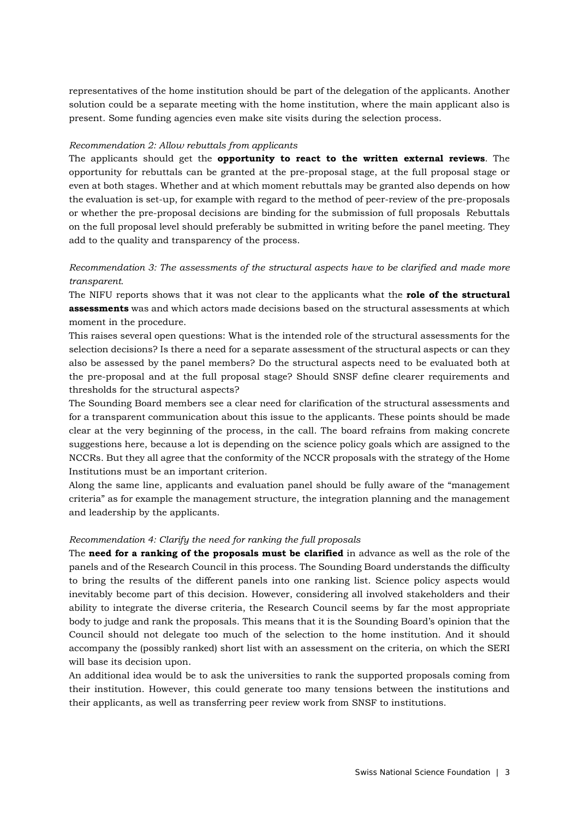representatives of the home institution should be part of the delegation of the applicants. Another solution could be a separate meeting with the home institution, where the main applicant also is present. Some funding agencies even make site visits during the selection process.

#### *Recommendation 2: Allow rebuttals from applicants*

The applicants should get the **opportunity to react to the written external reviews**. The opportunity for rebuttals can be granted at the pre-proposal stage, at the full proposal stage or even at both stages. Whether and at which moment rebuttals may be granted also depends on how the evaluation is set-up, for example with regard to the method of peer-review of the pre-proposals or whether the pre-proposal decisions are binding for the submission of full proposals Rebuttals on the full proposal level should preferably be submitted in writing before the panel meeting. They add to the quality and transparency of the process.

# *Recommendation 3: The assessments of the structural aspects have to be clarified and made more transparent.*

The NIFU reports shows that it was not clear to the applicants what the **role of the structural assessments** was and which actors made decisions based on the structural assessments at which moment in the procedure.

This raises several open questions: What is the intended role of the structural assessments for the selection decisions? Is there a need for a separate assessment of the structural aspects or can they also be assessed by the panel members? Do the structural aspects need to be evaluated both at the pre-proposal and at the full proposal stage? Should SNSF define clearer requirements and thresholds for the structural aspects?

The Sounding Board members see a clear need for clarification of the structural assessments and for a transparent communication about this issue to the applicants. These points should be made clear at the very beginning of the process, in the call. The board refrains from making concrete suggestions here, because a lot is depending on the science policy goals which are assigned to the NCCRs. But they all agree that the conformity of the NCCR proposals with the strategy of the Home Institutions must be an important criterion.

Along the same line, applicants and evaluation panel should be fully aware of the "management criteria" as for example the management structure, the integration planning and the management and leadership by the applicants.

#### *Recommendation 4: Clarify the need for ranking the full proposals*

The **need for a ranking of the proposals must be clarified** in advance as well as the role of the panels and of the Research Council in this process. The Sounding Board understands the difficulty to bring the results of the different panels into one ranking list. Science policy aspects would inevitably become part of this decision. However, considering all involved stakeholders and their ability to integrate the diverse criteria, the Research Council seems by far the most appropriate body to judge and rank the proposals. This means that it is the Sounding Board's opinion that the Council should not delegate too much of the selection to the home institution. And it should accompany the (possibly ranked) short list with an assessment on the criteria, on which the SERI will base its decision upon.

An additional idea would be to ask the universities to rank the supported proposals coming from their institution. However, this could generate too many tensions between the institutions and their applicants, as well as transferring peer review work from SNSF to institutions.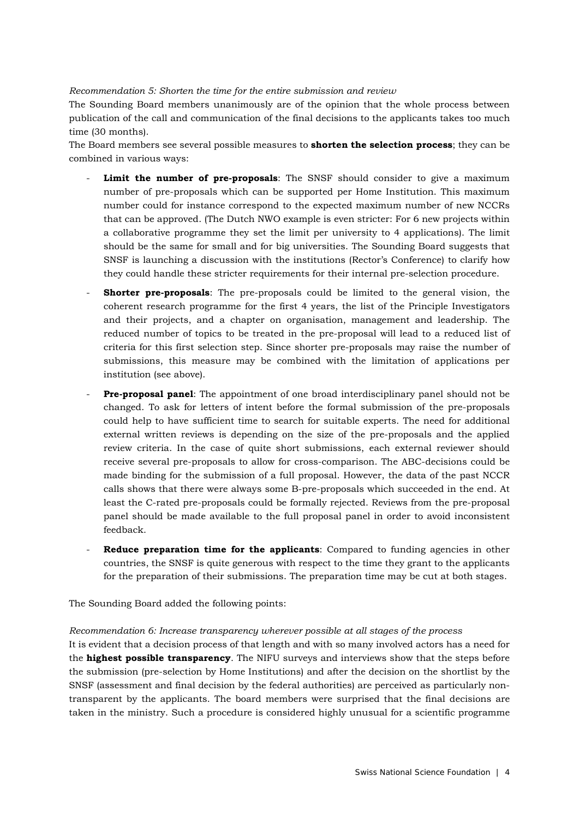#### *Recommendation 5: Shorten the time for the entire submission and review*

The Sounding Board members unanimously are of the opinion that the whole process between publication of the call and communication of the final decisions to the applicants takes too much time (30 months).

The Board members see several possible measures to **shorten the selection process**; they can be combined in various ways:

- Limit the number of pre-proposals: The SNSF should consider to give a maximum number of pre-proposals which can be supported per Home Institution. This maximum number could for instance correspond to the expected maximum number of new NCCRs that can be approved. (The Dutch NWO example is even stricter: For 6 new projects within a collaborative programme they set the limit per university to 4 applications). The limit should be the same for small and for big universities. The Sounding Board suggests that SNSF is launching a discussion with the institutions (Rector's Conference) to clarify how they could handle these stricter requirements for their internal pre-selection procedure.
- **Shorter pre-proposals**: The pre-proposals could be limited to the general vision, the coherent research programme for the first 4 years, the list of the Principle Investigators and their projects, and a chapter on organisation, management and leadership. The reduced number of topics to be treated in the pre-proposal will lead to a reduced list of criteria for this first selection step. Since shorter pre-proposals may raise the number of submissions, this measure may be combined with the limitation of applications per institution (see above).
- **Pre-proposal panel**: The appointment of one broad interdisciplinary panel should not be changed. To ask for letters of intent before the formal submission of the pre-proposals could help to have sufficient time to search for suitable experts. The need for additional external written reviews is depending on the size of the pre-proposals and the applied review criteria. In the case of quite short submissions, each external reviewer should receive several pre-proposals to allow for cross-comparison. The ABC-decisions could be made binding for the submission of a full proposal. However, the data of the past NCCR calls shows that there were always some B-pre-proposals which succeeded in the end. At least the C-rated pre-proposals could be formally rejected. Reviews from the pre-proposal panel should be made available to the full proposal panel in order to avoid inconsistent feedback.
- **Reduce preparation time for the applicants:** Compared to funding agencies in other countries, the SNSF is quite generous with respect to the time they grant to the applicants for the preparation of their submissions. The preparation time may be cut at both stages.

The Sounding Board added the following points:

#### *Recommendation 6: Increase transparency wherever possible at all stages of the process*

It is evident that a decision process of that length and with so many involved actors has a need for the **highest possible transparency**. The NIFU surveys and interviews show that the steps before the submission (pre-selection by Home Institutions) and after the decision on the shortlist by the SNSF (assessment and final decision by the federal authorities) are perceived as particularly nontransparent by the applicants. The board members were surprised that the final decisions are taken in the ministry. Such a procedure is considered highly unusual for a scientific programme